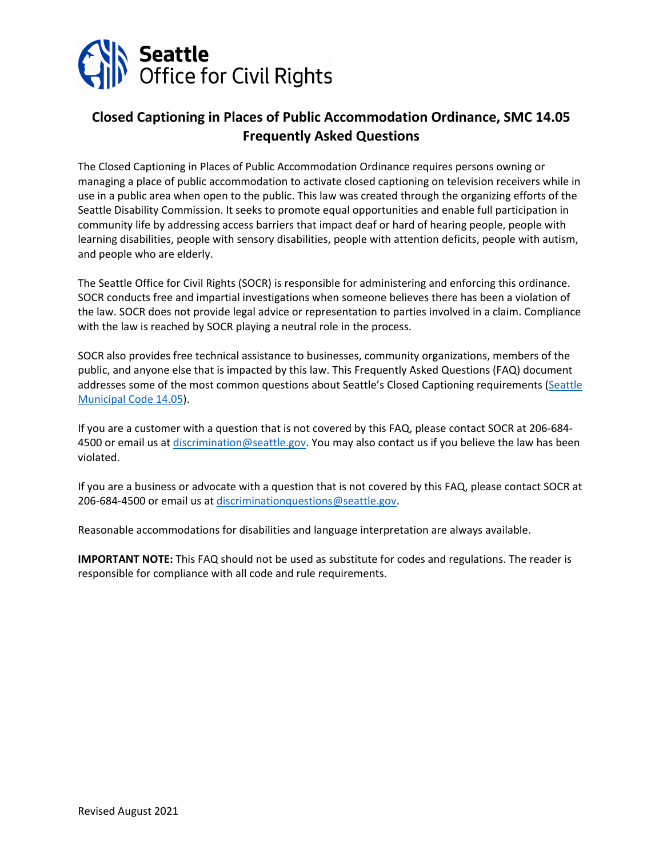

# **Closed Captioning in Places of Public Accommodation Ordinance, SMC 14.05 Frequently Asked Questions**

The Closed Captioning in Places of Public Accommodation Ordinance requires persons owning or managing a place of public accommodation to activate closed captioning on television receivers while in use in a public area when open to the public. This law was created through the organizing efforts of the Seattle Disability Commission. It seeks to promote equal opportunities and enable full participation in community life by addressing access barriers that impact deaf or hard of hearing people, people with learning disabilities, people with sensory disabilities, people with attention deficits, people with autism, and people who are elderly.

The Seattle Office for Civil Rights (SOCR) is responsible for administering and enforcing this ordinance. SOCR conducts free and impartial investigations when someone believes there has been a violation of the law. SOCR does not provide legal advice or representation to parties involved in a claim. Compliance with the law is reached by SOCR playing a neutral role in the process.

SOCR also provides free technical assistance to businesses, community organizations, members of the public, and anyone else that is impacted by this law. This Frequently Asked Questions (FAQ) document addresses some of the most common questions about Seattle's Closed Captioning requirements (Seattle [Municipal Code 14.05\)](https://library.municode.com/wa/seattle/codes/municipal_code?nodeId=TIT14HURI_CH14.05CLCAPLPUAC).

If you are a customer with a question that is not covered by this FAQ, please contact SOCR at 206-684- 4500 or email us at [discrimination@seattle.gov.](mailto:discrimination@seattle.gov) You may also contact us if you believe the law has been violated.

If you are a business or advocate with a question that is not covered by this FAQ, please contact SOCR at 206-684-4500 or email us at [discriminationquestions@seattle.gov.](mailto:discriminationquestions@seattle.gov)

Reasonable accommodations for disabilities and language interpretation are always available.

**IMPORTANT NOTE:** This FAQ should not be used as substitute for codes and regulations. The reader is responsible for compliance with all code and rule requirements.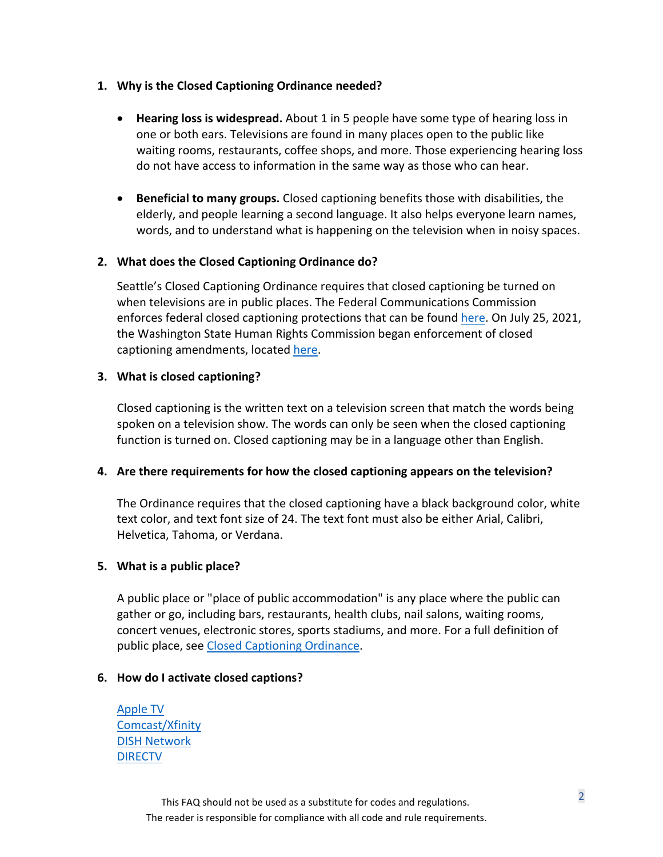#### **1. Why is the Closed Captioning Ordinance needed?**

- **Hearing loss is widespread.** About 1 in 5 people have some type of hearing loss in one or both ears. Televisions are found in many places open to the public like waiting rooms, restaurants, coffee shops, and more. Those experiencing hearing loss do not have access to information in the same way as those who can hear.
- **Beneficial to many groups.** Closed captioning benefits those with disabilities, the elderly, and people learning a second language. It also helps everyone learn names, words, and to understand what is happening on the television when in noisy spaces.

## **2. What does the Closed Captioning Ordinance do?**

Seattle's Closed Captioning Ordinance requires that closed captioning be turned on when televisions are in public places. The Federal Communications Commission enforces federal closed captioning protections that can be found [here.](https://www.fcc.gov/consumers/guides/closed-captioning-television) On July 25, 2021, the Washington State Human Rights Commission began enforcement of closed captioning amendments, located [here.](https://www.hum.wa.gov/news/2021/07/wshrc-provides-guidance-closed-captioning-places-public-accommodation)

#### **3. What is closed captioning?**

Closed captioning is the written text on a television screen that match the words being spoken on a television show. The words can only be seen when the closed captioning function is turned on. Closed captioning may be in a language other than English.

#### **4. Are there requirements for how the closed captioning appears on the television?**

The Ordinance requires that the closed captioning have a black background color, white text color, and text font size of 24. The text font must also be either Arial, Calibri, Helvetica, Tahoma, or Verdana.

## **5. What is a public place?**

A public place or "place of public accommodation" is any place where the public can gather or go, including bars, restaurants, health clubs, nail salons, waiting rooms, concert venues, electronic stores, sports stadiums, and more. For a full definition of public place, see [Closed Captioning Ordinance.](https://seattle.legistar.com/View.ashx?M=F&ID=7203756&GUID=298C4678-423A-445F-A17E-804AAF3C5ABC)

## **6. How do I activate closed captions?**

[Apple TV](https://support.apple.com/en-us/HT202641) [Comcast/Xfinity](https://www.xfinity.com/support/articles/enable-closed-captioning) [DISH Network](https://www.xfinity.com/support/articles/enable-closed-captioning) [DIRECTV](https://support.directv.com/equipment/2510)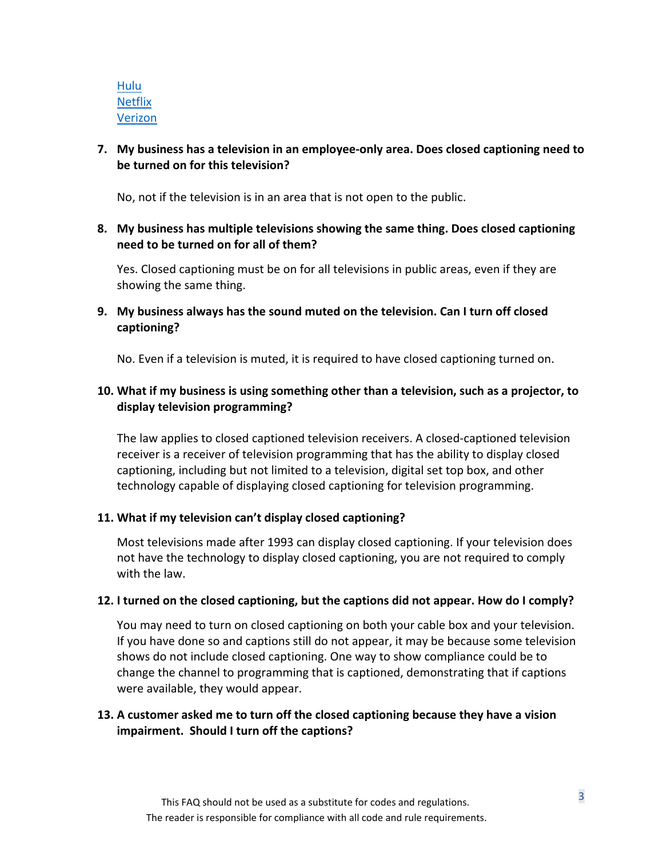[Hulu](https://help.hulu.com/s/article/captions?language=en_US) **[Netflix](https://help.netflix.com/en/node/372)** [Verizon](https://www.verizon.com/support/residential/tv/programs-features/closed-captioning)

## **7. My business has a television in an employee-only area. Does closed captioning need to be turned on for this television?**

No, not if the television is in an area that is not open to the public.

**8. My business has multiple televisions showing the same thing. Does closed captioning need to be turned on for all of them?** 

Yes. Closed captioning must be on for all televisions in public areas, even if they are showing the same thing.

**9. My business always has the sound muted on the television. Can I turn off closed captioning?** 

No. Even if a television is muted, it is required to have closed captioning turned on.

## **10. What if my business is using something other than a television, such as a projector, to display television programming?**

The law applies to closed captioned television receivers. A closed-captioned television receiver is a receiver of television programming that has the ability to display closed captioning, including but not limited to a television, digital set top box, and other technology capable of displaying closed captioning for television programming.

## **11. What if my television can't display closed captioning?**

Most televisions made after 1993 can display closed captioning. If your television does not have the technology to display closed captioning, you are not required to comply with the law.

## **12. I turned on the closed captioning, but the captions did not appear. How do I comply?**

You may need to turn on closed captioning on both your cable box and your television. If you have done so and captions still do not appear, it may be because some television shows do not include closed captioning. One way to show compliance could be to change the channel to programming that is captioned, demonstrating that if captions were available, they would appear.

# **13. A customer asked me to turn off the closed captioning because they have a vision impairment. Should I turn off the captions?**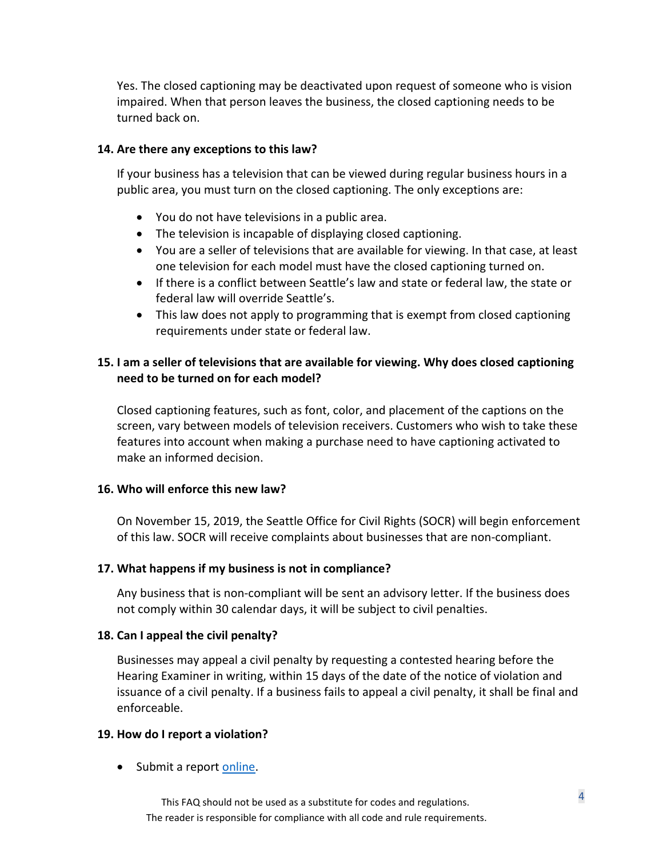Yes. The closed captioning may be deactivated upon request of someone who is vision impaired. When that person leaves the business, the closed captioning needs to be turned back on.

#### **14. Are there any exceptions to this law?**

If your business has a television that can be viewed during regular business hours in a public area, you must turn on the closed captioning. The only exceptions are:

- You do not have televisions in a public area.
- The television is incapable of displaying closed captioning.
- You are a seller of televisions that are available for viewing. In that case, at least one television for each model must have the closed captioning turned on.
- If there is a conflict between Seattle's law and state or federal law, the state or federal law will override Seattle's.
- This law does not apply to programming that is exempt from closed captioning requirements under state or federal law.

# **15. I am a seller of televisions that are available for viewing. Why does closed captioning need to be turned on for each model?**

Closed captioning features, such as font, color, and placement of the captions on the screen, vary between models of television receivers. Customers who wish to take these features into account when making a purchase need to have captioning activated to make an informed decision.

#### **16. Who will enforce this new law?**

On November 15, 2019, the Seattle Office for Civil Rights (SOCR) will begin enforcement of this law. SOCR will receive complaints about businesses that are non-compliant.

## **17. What happens if my business is not in compliance?**

Any business that is non-compliant will be sent an advisory letter. If the business does not comply within 30 calendar days, it will be subject to civil penalties.

#### **18. Can I appeal the civil penalty?**

Businesses may appeal a civil penalty by requesting a contested hearing before the Hearing Examiner in writing, within 15 days of the date of the notice of violation and issuance of a civil penalty. If a business fails to appeal a civil penalty, it shall be final and enforceable.

#### **19. How do I report a violation?**

• Submit a report [online.](https://seattle-cr.entellitrak.com/etk-seattle-cr-prod/page.request.do?page=page.form.intake.questionnaire)

<sup>4</sup> This FAQ should not be used as a substitute for codes and regulations. The reader is responsible for compliance with all code and rule requirements.